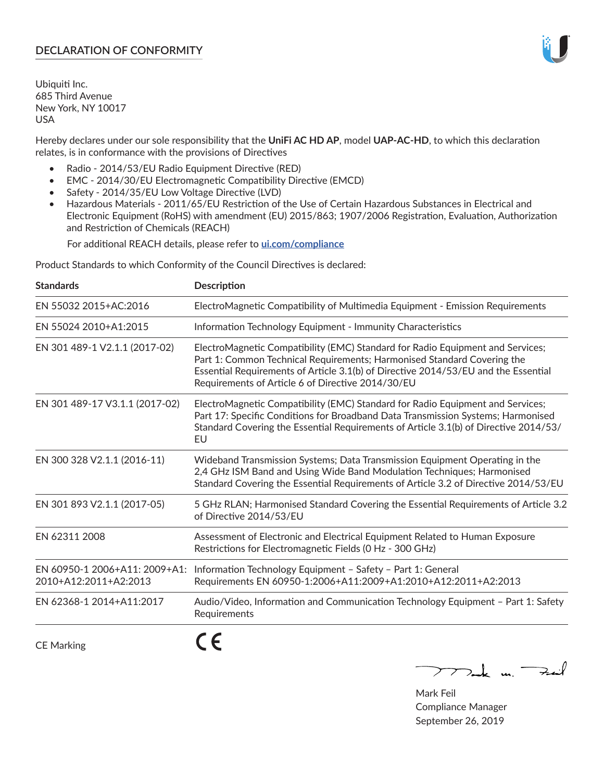# **DECLARATION OF CONFORMITY**

Ubiquiti Inc. 685 Third Avenue New York, NY 10017 USA

Hereby declares under our sole responsibility that the **UniFi AC HD AP**, model **UAP-AC-HD**, to which this declaration relates, is in conformance with the provisions of Directives

- Radio 2014/53/EU Radio Equipment Directive (RED)
- EMC 2014/30/EU Electromagnetic Compatibility Directive (EMCD)
- Safety 2014/35/EU Low Voltage Directive (LVD)
- Hazardous Materials 2011/65/EU Restriction of the Use of Certain Hazardous Substances in Electrical and Electronic Equipment (RoHS) with amendment (EU) 2015/863; 1907/2006 Registration, Evaluation, Authorization and Restriction of Chemicals (REACH)

For additional REACH details, please refer to **[ui.com/compliance](https://dl.ui.com/compliance/REACH_Compliance_Declaration.pdf)**

Product Standards to which Conformity of the Council Directives is declared:

| <b>Standards</b>                                       | <b>Description</b>                                                                                                                                                                                                                                                                                   |
|--------------------------------------------------------|------------------------------------------------------------------------------------------------------------------------------------------------------------------------------------------------------------------------------------------------------------------------------------------------------|
| EN 55032 2015+AC:2016                                  | ElectroMagnetic Compatibility of Multimedia Equipment - Emission Requirements                                                                                                                                                                                                                        |
| EN 55024 2010+A1:2015                                  | Information Technology Equipment - Immunity Characteristics                                                                                                                                                                                                                                          |
| EN 301 489-1 V2.1.1 (2017-02)                          | ElectroMagnetic Compatibility (EMC) Standard for Radio Equipment and Services;<br>Part 1: Common Technical Requirements; Harmonised Standard Covering the<br>Essential Requirements of Article 3.1(b) of Directive 2014/53/EU and the Essential<br>Requirements of Article 6 of Directive 2014/30/EU |
| EN 301 489-17 V3.1.1 (2017-02)                         | ElectroMagnetic Compatibility (EMC) Standard for Radio Equipment and Services;<br>Part 17: Specific Conditions for Broadband Data Transmission Systems; Harmonised<br>Standard Covering the Essential Requirements of Article 3.1(b) of Directive 2014/53/<br>EU                                     |
| EN 300 328 V2.1.1 (2016-11)                            | Wideband Transmission Systems; Data Transmission Equipment Operating in the<br>2,4 GHz ISM Band and Using Wide Band Modulation Techniques; Harmonised<br>Standard Covering the Essential Requirements of Article 3.2 of Directive 2014/53/EU                                                         |
| EN 301 893 V2.1.1 (2017-05)                            | 5 GHz RLAN; Harmonised Standard Covering the Essential Requirements of Article 3.2<br>of Directive 2014/53/EU                                                                                                                                                                                        |
| EN 62311 2008                                          | Assessment of Electronic and Electrical Equipment Related to Human Exposure<br>Restrictions for Electromagnetic Fields (0 Hz - 300 GHz)                                                                                                                                                              |
| EN 60950-1 2006+A11: 2009+A1:<br>2010+A12:2011+A2:2013 | Information Technology Equipment - Safety - Part 1: General<br>Requirements EN 60950-1:2006+A11:2009+A1:2010+A12:2011+A2:2013                                                                                                                                                                        |
| EN 62368-1 2014+A11:2017                               | Audio/Video, Information and Communication Technology Equipment - Part 1: Safety<br>Requirements                                                                                                                                                                                                     |
| <b>CE Marking</b>                                      |                                                                                                                                                                                                                                                                                                      |

Tak un Fail  $\mathop{\sum\limits}$ 

Mark Feil Compliance Manager September 26, 2019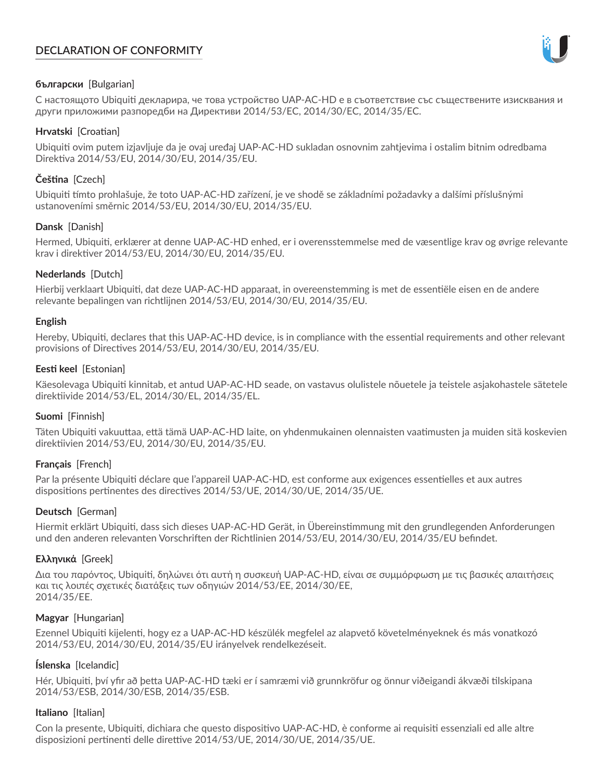# **DECLARATION OF CONFORMITY**



## **български** [Bulgarian]

С настоящото Ubiquiti декларира, че това устройство UAP-AC-HD е в съответствие със съществените изисквания и други приложими разпоредби на Директиви 2014/53/EC, 2014/30/ЕС, 2014/35/ЕС.

## **Hrvatski** [Croatian]

Ubiquiti ovim putem izjavljuje da je ovaj uređaj UAP-AC-HD sukladan osnovnim zahtjevima i ostalim bitnim odredbama Direktiva 2014/53/EU, 2014/30/EU, 2014/35/EU.

# **Čeština** [Czech]

Ubiquiti tímto prohlašuje, že toto UAP-AC-HD zařízení, je ve shodě se základními požadavky a dalšími příslušnými ustanoveními směrnic 2014/53/EU, 2014/30/EU, 2014/35/EU.

# **Dansk** [Danish]

Hermed, Ubiquiti, erklærer at denne UAP-AC-HD enhed, er i overensstemmelse med de væsentlige krav og øvrige relevante krav i direktiver 2014/53/EU, 2014/30/EU, 2014/35/EU.

## **Nederlands** [Dutch]

Hierbij verklaart Ubiquiti, dat deze UAP-AC-HD apparaat, in overeenstemming is met de essentiële eisen en de andere relevante bepalingen van richtlijnen 2014/53/EU, 2014/30/EU, 2014/35/EU.

## **English**

Hereby, Ubiquiti, declares that this UAP-AC-HD device, is in compliance with the essential requirements and other relevant provisions of Directives 2014/53/EU, 2014/30/EU, 2014/35/EU.

# **Eesti keel** [Estonian]

Käesolevaga Ubiquiti kinnitab, et antud UAP-AC-HD seade, on vastavus olulistele nõuetele ja teistele asjakohastele sätetele direktiivide 2014/53/EL, 2014/30/EL, 2014/35/EL.

## **Suomi** [Finnish]

Täten Ubiquiti vakuuttaa, että tämä UAP-AC-HD laite, on yhdenmukainen olennaisten vaatimusten ja muiden sitä koskevien direktiivien 2014/53/EU, 2014/30/EU, 2014/35/EU.

## **Français** [French]

Par la présente Ubiquiti déclare que l'appareil UAP-AC-HD, est conforme aux exigences essentielles et aux autres dispositions pertinentes des directives 2014/53/UE, 2014/30/UE, 2014/35/UE.

## **Deutsch** [German]

Hiermit erklärt Ubiquiti, dass sich dieses UAP-AC-HD Gerät, in Übereinstimmung mit den grundlegenden Anforderungen und den anderen relevanten Vorschriften der Richtlinien 2014/53/EU, 2014/30/EU, 2014/35/EU befindet.

## **Ελληνικά** [Greek]

Δια του παρόντος, Ubiquiti, δηλώνει ότι αυτή η συσκευή UAP-AC-HD, είναι σε συμμόρφωση με τις βασικές απαιτήσεις και τις λοιπές σχετικές διατάξεις των οδηγιών 2014/53/EE, 2014/30/EE, 2014/35/EE.

## **Magyar** [Hungarian]

Ezennel Ubiquiti kijelenti, hogy ez a UAP-AC-HD készülék megfelel az alapvető követelményeknek és más vonatkozó 2014/53/EU, 2014/30/EU, 2014/35/EU irányelvek rendelkezéseit.

## **Íslenska** [Icelandic]

Hér, Ubiquiti, því yfir að þetta UAP-AC-HD tæki er í samræmi við grunnkröfur og önnur viðeigandi ákvæði tilskipana 2014/53/ESB, 2014/30/ESB, 2014/35/ESB.

## **Italiano** [Italian]

Con la presente, Ubiquiti, dichiara che questo dispositivo UAP-AC-HD, è conforme ai requisiti essenziali ed alle altre disposizioni pertinenti delle direttive 2014/53/UE, 2014/30/UE, 2014/35/UE.